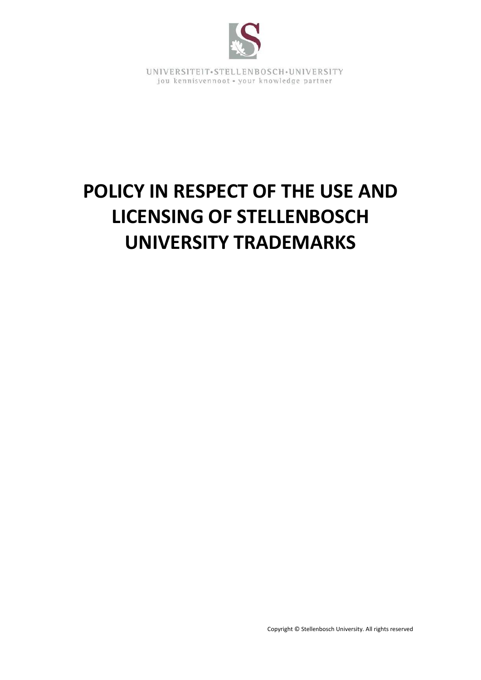

# **POLICY IN RESPECT OF THE USE AND LICENSING OF STELLENBOSCH UNIVERSITY TRADEMARKS**

Copyright © Stellenbosch University. All rights reserved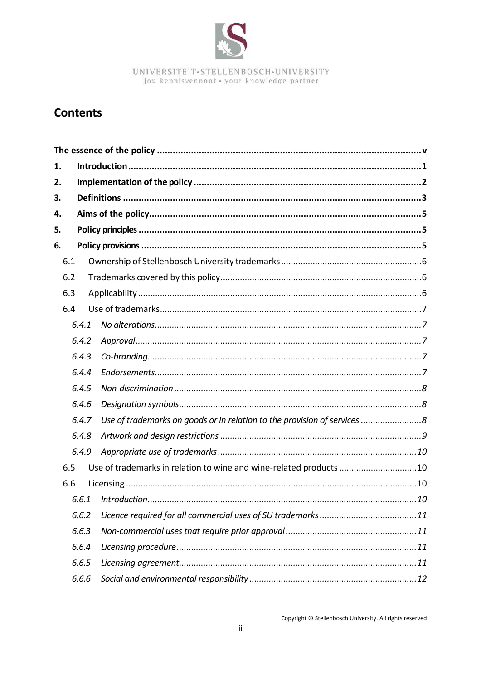

# **Contents**

| 1.  |       |  |                                                                          |  |  |  |  |  |
|-----|-------|--|--------------------------------------------------------------------------|--|--|--|--|--|
| 2.  |       |  |                                                                          |  |  |  |  |  |
| 3.  |       |  |                                                                          |  |  |  |  |  |
| 4.  |       |  |                                                                          |  |  |  |  |  |
| 5.  |       |  |                                                                          |  |  |  |  |  |
| 6.  |       |  |                                                                          |  |  |  |  |  |
| 6.1 |       |  |                                                                          |  |  |  |  |  |
| 6.2 |       |  |                                                                          |  |  |  |  |  |
| 6.3 |       |  |                                                                          |  |  |  |  |  |
| 6.4 |       |  |                                                                          |  |  |  |  |  |
|     | 6.4.1 |  |                                                                          |  |  |  |  |  |
|     | 6.4.2 |  |                                                                          |  |  |  |  |  |
|     | 6.4.3 |  |                                                                          |  |  |  |  |  |
|     | 6.4.4 |  |                                                                          |  |  |  |  |  |
|     | 6.4.5 |  |                                                                          |  |  |  |  |  |
|     | 6.4.6 |  |                                                                          |  |  |  |  |  |
|     | 6.4.7 |  | Use of trademarks on goods or in relation to the provision of services 8 |  |  |  |  |  |
|     | 6.4.8 |  |                                                                          |  |  |  |  |  |
|     | 6.4.9 |  |                                                                          |  |  |  |  |  |
| 6.5 |       |  | Use of trademarks in relation to wine and wine-related products 10       |  |  |  |  |  |
| 6.6 |       |  |                                                                          |  |  |  |  |  |
|     | 6.6.1 |  |                                                                          |  |  |  |  |  |
|     | 6.6.2 |  |                                                                          |  |  |  |  |  |
|     | 6.6.3 |  |                                                                          |  |  |  |  |  |
|     | 6.6.4 |  |                                                                          |  |  |  |  |  |
|     | 6.6.5 |  |                                                                          |  |  |  |  |  |
|     | 6.6.6 |  |                                                                          |  |  |  |  |  |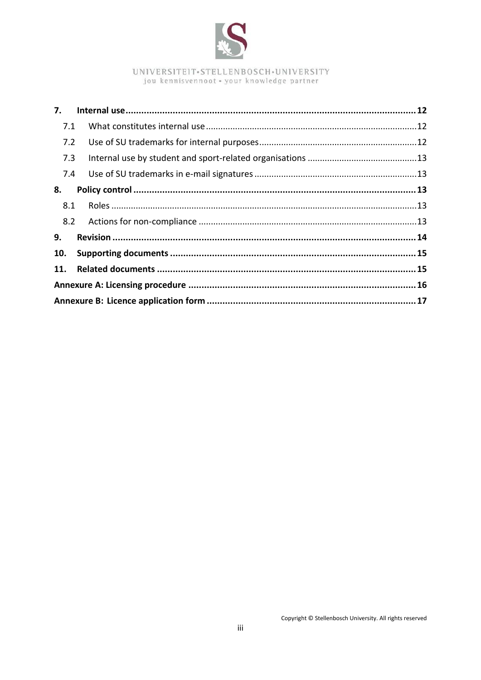

| 7.1        |  |  |  |
|------------|--|--|--|
| 7.2        |  |  |  |
| 7.3        |  |  |  |
| 7.4        |  |  |  |
| 8.         |  |  |  |
| 8.1        |  |  |  |
| 8.2        |  |  |  |
| 9.         |  |  |  |
| 10.        |  |  |  |
| <b>11.</b> |  |  |  |
|            |  |  |  |
|            |  |  |  |
|            |  |  |  |

Copyright © Stellenbosch University. All rights reserved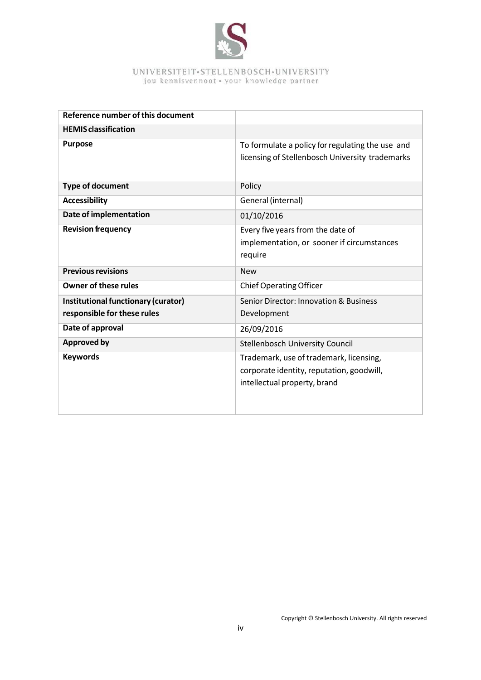

| Reference number of this document                                  |                                                                                                                      |
|--------------------------------------------------------------------|----------------------------------------------------------------------------------------------------------------------|
| <b>HEMIS</b> classification                                        |                                                                                                                      |
| <b>Purpose</b>                                                     | To formulate a policy for regulating the use and<br>licensing of Stellenbosch University trademarks                  |
| <b>Type of document</b>                                            | Policy                                                                                                               |
| <b>Accessibility</b>                                               | General (internal)                                                                                                   |
| Date of implementation                                             | 01/10/2016                                                                                                           |
| <b>Revision frequency</b>                                          | Every five years from the date of<br>implementation, or sooner if circumstances<br>require                           |
| <b>Previous revisions</b>                                          | <b>New</b>                                                                                                           |
| <b>Owner of these rules</b>                                        | <b>Chief Operating Officer</b>                                                                                       |
| Institutional functionary (curator)<br>responsible for these rules | Senior Director: Innovation & Business<br>Development                                                                |
| Date of approval                                                   | 26/09/2016                                                                                                           |
| <b>Approved by</b>                                                 | <b>Stellenbosch University Council</b>                                                                               |
| <b>Keywords</b>                                                    | Trademark, use of trademark, licensing,<br>corporate identity, reputation, goodwill,<br>intellectual property, brand |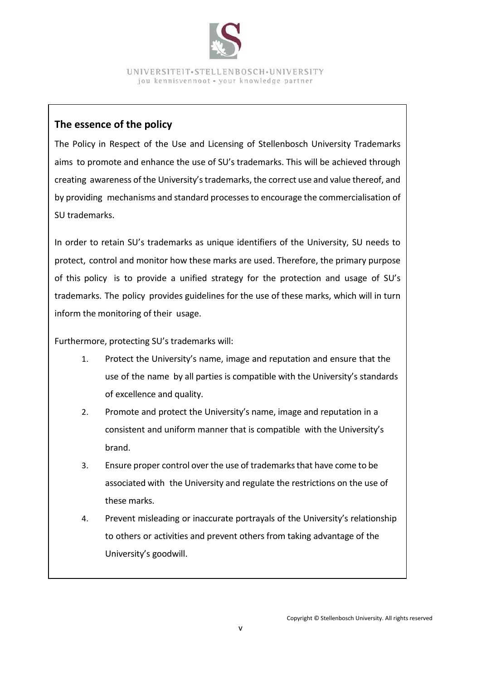

## **The essence of the policy**

The Policy in Respect of the Use and Licensing of Stellenbosch University Trademarks aims to promote and enhance the use of SU's trademarks. This will be achieved through creating awareness of the University'strademarks, the correct use and value thereof, and by providing mechanisms and standard processesto encourage the commercialisation of SU trademarks.

In order to retain SU's trademarks as unique identifiers of the University, SU needs to protect, control and monitor how these marks are used. Therefore, the primary purpose of this policy is to provide a unified strategy for the protection and usage of SU's trademarks. The policy provides guidelines for the use of these marks, which will in turn inform the monitoring of their usage.

Furthermore, protecting SU's trademarks will:

- 1. Protect the University's name, image and reputation and ensure that the use of the name by all parties is compatible with the University's standards of excellence and quality.
- 2. Promote and protect the University's name, image and reputation in a consistent and uniform manner that is compatible with the University's brand.
- 3. Ensure proper control over the use of trademarksthat have come to be associated with the University and regulate the restrictions on the use of these marks.
- 4. Prevent misleading or inaccurate portrayals of the University's relationship to others or activities and prevent others from taking advantage of the University's goodwill.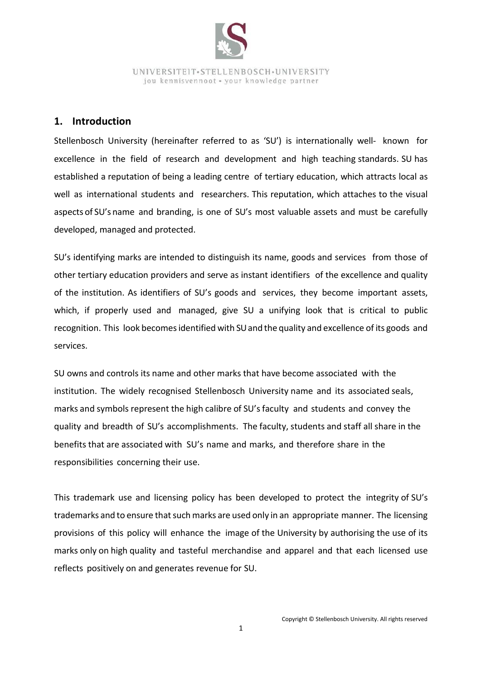

#### <span id="page-5-0"></span>**1. Introduction**

Stellenbosch University (hereinafter referred to as 'SU') is internationally well- known for excellence in the field of research and development and high teaching standards. SU has established a reputation of being a leading centre of tertiary education, which attracts local as well as international students and researchers. This reputation, which attaches to the visual aspects of SU's name and branding, is one of SU's most valuable assets and must be carefully developed, managed and protected.

SU's identifying marks are intended to distinguish its name, goods and services from those of other tertiary education providers and serve as instant identifiers of the excellence and quality of the institution. As identifiers of SU's goods and services, they become important assets, which, if properly used and managed, give SU a unifying look that is critical to public recognition. This look becomes identified with SU and the quality and excellence of its goods and services.

SU owns and controls its name and other marks that have become associated with the institution. The widely recognised Stellenbosch University name and its associated seals, marks and symbols represent the high calibre of SU'sfaculty and students and convey the quality and breadth of SU's accomplishments. The faculty, students and staff all share in the benefits that are associated with SU's name and marks, and therefore share in the responsibilities concerning their use.

This trademark use and licensing policy has been developed to protect the integrity of SU's trademarks and to ensure that such marks are used only in an appropriate manner. The licensing provisions of this policy will enhance the image of the University by authorising the use of its marks only on high quality and tasteful merchandise and apparel and that each licensed use reflects positively on and generates revenue for SU.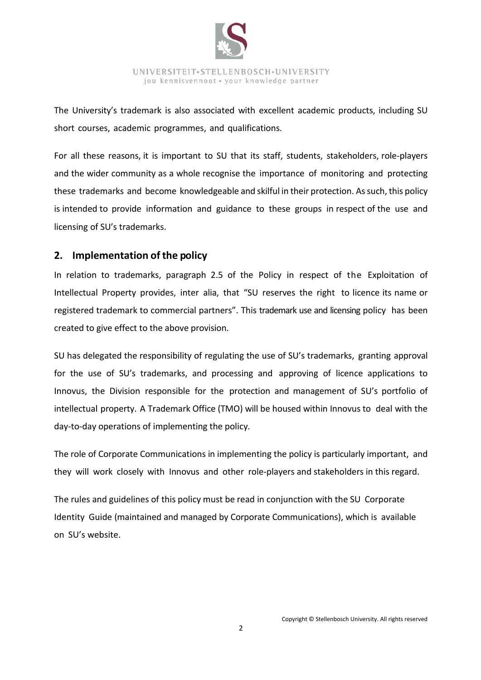

The University's trademark is also associated with excellent academic products, including SU short courses, academic programmes, and qualifications.

For all these reasons, it is important to SU that its staff, students, stakeholders, role-players and the wider community as a whole recognise the importance of monitoring and protecting these trademarks and become knowledgeable and skilful in their protection. As such, this policy is intended to provide information and guidance to these groups in respect of the use and licensing of SU's trademarks.

## <span id="page-6-0"></span>**2. Implementation of the policy**

In relation to trademarks, paragraph 2.5 of the Policy in respect of the Exploitation of Intellectual Property provides, inter alia, that "SU reserves the right to licence its name or registered trademark to commercial partners". This trademark use and licensing policy has been created to give effect to the above provision.

SU has delegated the responsibility of regulating the use of SU's trademarks, granting approval for the use of SU's trademarks, and processing and approving of licence applications to Innovus, the Division responsible for the protection and management of SU's portfolio of intellectual property. A Trademark Office (TMO) will be housed within Innovus to deal with the day-to-day operations of implementing the policy.

The role of Corporate Communications in implementing the policy is particularly important, and they will work closely with Innovus and other role-players and stakeholders in this regard.

The rules and guidelines of this policy must be read in conjunction with the SU Corporate Identity Guide (maintained and managed by Corporate Communications), which is available on SU's website.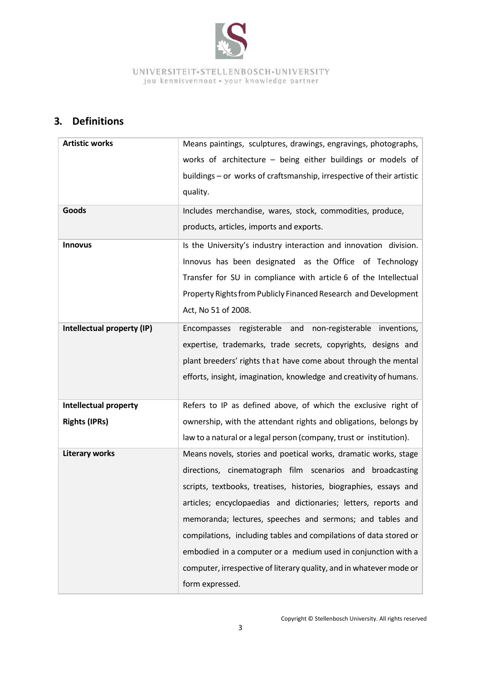

# <span id="page-7-0"></span>**3. Definitions**

| <b>Artistic works</b>        | Means paintings, sculptures, drawings, engravings, photographs,       |  |  |  |
|------------------------------|-----------------------------------------------------------------------|--|--|--|
|                              | works of architecture - being either buildings or models of           |  |  |  |
|                              | buildings - or works of craftsmanship, irrespective of their artistic |  |  |  |
|                              | quality.                                                              |  |  |  |
| Goods                        | Includes merchandise, wares, stock, commodities, produce,             |  |  |  |
|                              | products, articles, imports and exports.                              |  |  |  |
| <b>Innovus</b>               | Is the University's industry interaction and innovation division.     |  |  |  |
|                              | Innovus has been designated as the Office of Technology               |  |  |  |
|                              | Transfer for SU in compliance with article 6 of the Intellectual      |  |  |  |
|                              | Property Rights from Publicly Financed Research and Development       |  |  |  |
|                              | Act, No 51 of 2008.                                                   |  |  |  |
| Intellectual property (IP)   | Encompasses registerable and non-registerable inventions,             |  |  |  |
|                              | expertise, trademarks, trade secrets, copyrights, designs and         |  |  |  |
|                              | plant breeders' rights that have come about through the mental        |  |  |  |
|                              | efforts, insight, imagination, knowledge and creativity of humans.    |  |  |  |
|                              |                                                                       |  |  |  |
| <b>Intellectual property</b> | Refers to IP as defined above, of which the exclusive right of        |  |  |  |
| <b>Rights (IPRs)</b>         | ownership, with the attendant rights and obligations, belongs by      |  |  |  |
|                              | law to a natural or a legal person (company, trust or institution).   |  |  |  |
| <b>Literary works</b>        | Means novels, stories and poetical works, dramatic works, stage       |  |  |  |
|                              | directions, cinematograph film scenarios and broadcasting             |  |  |  |
|                              | scripts, textbooks, treatises, histories, biographies, essays and     |  |  |  |
|                              | articles; encyclopaedias and dictionaries; letters, reports and       |  |  |  |
|                              | memoranda; lectures, speeches and sermons; and tables and             |  |  |  |
|                              | compilations, including tables and compilations of data stored or     |  |  |  |
|                              | embodied in a computer or a medium used in conjunction with a         |  |  |  |
|                              | computer, irrespective of literary quality, and in whatever mode or   |  |  |  |
|                              | form expressed.                                                       |  |  |  |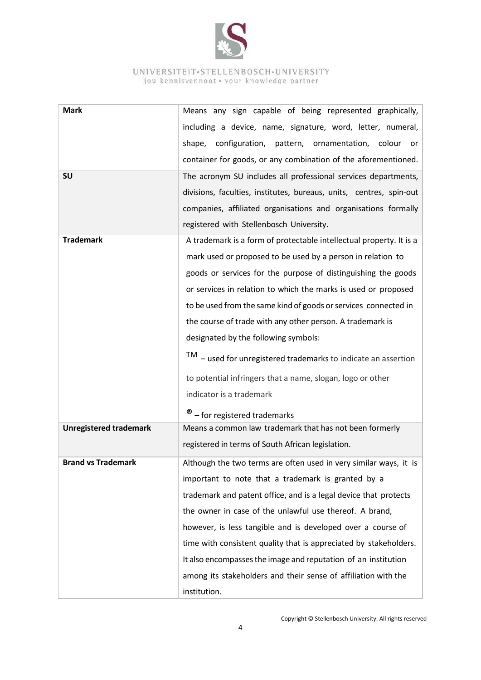

| <b>Mark</b>                   | Means any sign capable of being represented graphically,                                                                                                                                                        |  |  |
|-------------------------------|-----------------------------------------------------------------------------------------------------------------------------------------------------------------------------------------------------------------|--|--|
|                               | including a device, name, signature, word, letter, numeral,                                                                                                                                                     |  |  |
|                               | shape, configuration, pattern, ornamentation, colour or                                                                                                                                                         |  |  |
|                               | container for goods, or any combination of the aforementioned.                                                                                                                                                  |  |  |
| SU                            |                                                                                                                                                                                                                 |  |  |
|                               | The acronym SU includes all professional services departments,                                                                                                                                                  |  |  |
|                               | divisions, faculties, institutes, bureaus, units, centres, spin-out                                                                                                                                             |  |  |
|                               | companies, affiliated organisations and organisations formally                                                                                                                                                  |  |  |
|                               | registered with Stellenbosch University.                                                                                                                                                                        |  |  |
| <b>Trademark</b>              | A trademark is a form of protectable intellectual property. It is a                                                                                                                                             |  |  |
|                               | mark used or proposed to be used by a person in relation to                                                                                                                                                     |  |  |
|                               | goods or services for the purpose of distinguishing the goods                                                                                                                                                   |  |  |
|                               | or services in relation to which the marks is used or proposed                                                                                                                                                  |  |  |
|                               | to be used from the same kind of goods or services connected in                                                                                                                                                 |  |  |
|                               | the course of trade with any other person. A trademark is                                                                                                                                                       |  |  |
|                               | designated by the following symbols:                                                                                                                                                                            |  |  |
|                               | $TM -$ used for unregistered trademarks to indicate an assertion                                                                                                                                                |  |  |
|                               | to potential infringers that a name, slogan, logo or other                                                                                                                                                      |  |  |
|                               | indicator is a trademark                                                                                                                                                                                        |  |  |
|                               | - for registered trademarks                                                                                                                                                                                     |  |  |
| <b>Unregistered trademark</b> | Means a common law trademark that has not been formerly                                                                                                                                                         |  |  |
|                               | registered in terms of South African legislation.                                                                                                                                                               |  |  |
| <b>Brand vs Trademark</b>     | Although the two terms are often used in very similar ways, it is                                                                                                                                               |  |  |
|                               | important to note that a trademark is granted by a                                                                                                                                                              |  |  |
|                               | trademark and patent office, and is a legal device that protects                                                                                                                                                |  |  |
|                               | the owner in case of the unlawful use thereof. A brand,                                                                                                                                                         |  |  |
|                               |                                                                                                                                                                                                                 |  |  |
|                               | time with consistent quality that is appreciated by stakeholders.                                                                                                                                               |  |  |
|                               |                                                                                                                                                                                                                 |  |  |
|                               |                                                                                                                                                                                                                 |  |  |
|                               |                                                                                                                                                                                                                 |  |  |
|                               | however, is less tangible and is developed over a course of<br>It also encompasses the image and reputation of an institution<br>among its stakeholders and their sense of affiliation with the<br>institution. |  |  |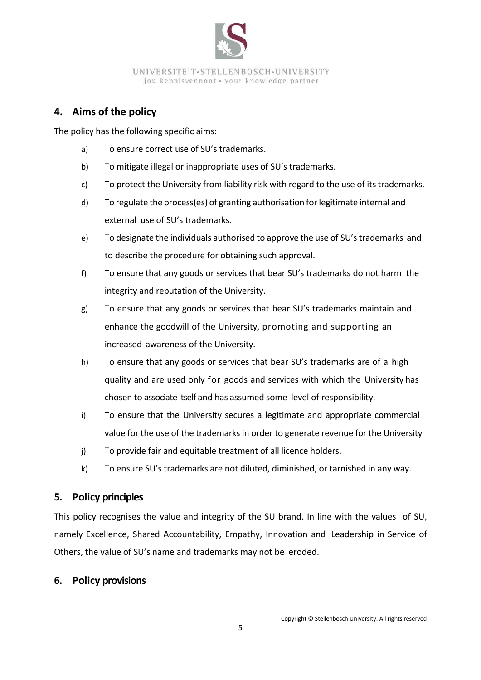

# <span id="page-9-0"></span>**4. Aims of the policy**

The policy has the following specific aims:

- a) To ensure correct use of SU's trademarks.
- b) To mitigate illegal or inappropriate uses of SU's trademarks.
- c) To protect the University from liability risk with regard to the use of its trademarks.
- d) To regulate the process(es) of granting authorisation forlegitimate internal and external use of SU's trademarks.
- e) To designate the individuals authorised to approve the use of SU'strademarks and to describe the procedure for obtaining such approval.
- f) To ensure that any goods or services that bear SU's trademarks do not harm the integrity and reputation of the University.
- g) To ensure that any goods or services that bear SU's trademarks maintain and enhance the goodwill of the University, promoting and supporting an increased awareness of the University.
- h) To ensure that any goods or services that bear SU's trademarks are of a high quality and are used only for goods and services with which the University has chosen to associate itself and has assumed some level of responsibility.
- i) To ensure that the University secures a legitimate and appropriate commercial value for the use of the trademarksin order to generate revenue for the University
- j) To provide fair and equitable treatment of all licence holders.
- k) To ensure SU's trademarks are not diluted, diminished, or tarnished in any way.

## <span id="page-9-1"></span>**5. Policy principles**

This policy recognises the value and integrity of the SU brand. In line with the values of SU, namely Excellence, Shared Accountability, Empathy, Innovation and Leadership in Service of Others, the value of SU's name and trademarks may not be eroded.

#### <span id="page-9-2"></span>**6. Policy provisions**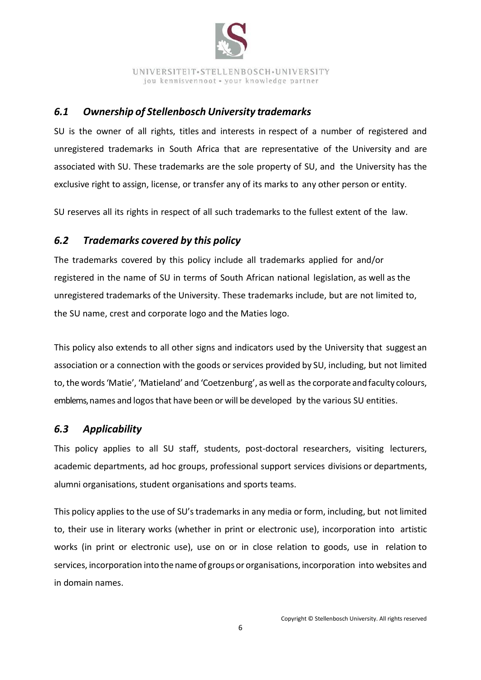

## <span id="page-10-0"></span>*6.1 Ownership of Stellenbosch University trademarks*

SU is the owner of all rights, titles and interests in respect of a number of registered and unregistered trademarks in South Africa that are representative of the University and are associated with SU. These trademarks are the sole property of SU, and the University has the exclusive right to assign, license, or transfer any of its marks to any other person or entity.

SU reserves all its rights in respect of all such trademarks to the fullest extent of the law.

# <span id="page-10-1"></span>*6.2 Trademarks covered by this policy*

The trademarks covered by this policy include all trademarks applied for and/or registered in the name of SU in terms of South African national legislation, as well as the unregistered trademarks of the University. These trademarks include, but are not limited to, the SU name, crest and corporate logo and the Maties logo.

This policy also extends to all other signs and indicators used by the University that suggest an association or a connection with the goods or services provided by SU, including, but not limited to, the words 'Matie', 'Matieland' and 'Coetzenburg', as well as the corporate and faculty colours, emblems, names and logos that have been or will be developed by the various SU entities.

## <span id="page-10-2"></span>*6.3 Applicability*

This policy applies to all SU staff, students, post-doctoral researchers, visiting lecturers, academic departments, ad hoc groups, professional support services divisions or departments, alumni organisations, student organisations and sports teams.

This policy applies to the use of SU'strademarks in any media or form, including, but not limited to, their use in literary works (whether in print or electronic use), incorporation into artistic works (in print or electronic use), use on or in close relation to goods, use in relation to services, incorporation into the name of groups or organisations, incorporation into websites and in domain names.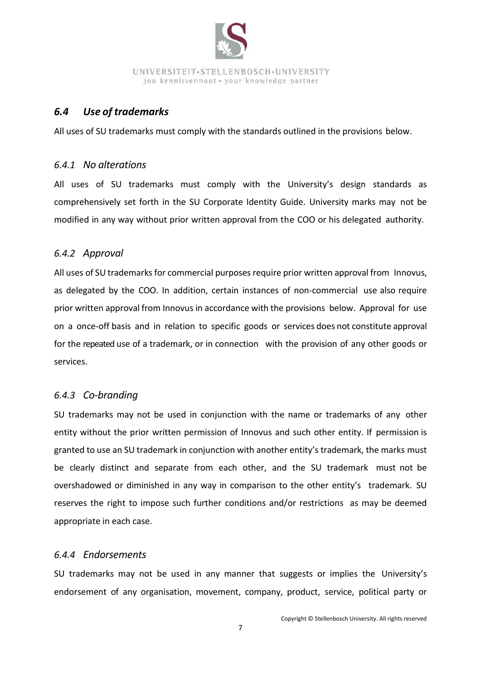

## <span id="page-11-0"></span>*6.4 Use of trademarks*

All uses of SU trademarks must comply with the standards outlined in the provisions below.

#### <span id="page-11-1"></span>*6.4.1 No alterations*

All uses of SU trademarks must comply with the University's design standards as comprehensively set forth in the SU Corporate Identity Guide. University marks may not be modified in any way without prior written approval from the COO or his delegated authority.

#### <span id="page-11-2"></span>*6.4.2 Approval*

All uses of SU trademarks for commercial purposes require prior written approval from Innovus, as delegated by the COO. In addition, certain instances of non-commercial use also require prior written approval from Innovus in accordance with the provisions below. Approval for use on a once-off basis and in relation to specific goods or services does not constitute approval for the repeated use of a trademark, or in connection with the provision of any other goods or services.

#### <span id="page-11-3"></span>*6.4.3 Co-branding*

SU trademarks may not be used in conjunction with the name or trademarks of any other entity without the prior written permission of Innovus and such other entity. If permission is granted to use an SU trademark in conjunction with another entity's trademark, the marks must be clearly distinct and separate from each other, and the SU trademark must not be overshadowed or diminished in any way in comparison to the other entity's trademark. SU reserves the right to impose such further conditions and/or restrictions as may be deemed appropriate in each case.

#### <span id="page-11-4"></span>*6.4.4 Endorsements*

SU trademarks may not be used in any manner that suggests or implies the University's endorsement of any organisation, movement, company, product, service, political party or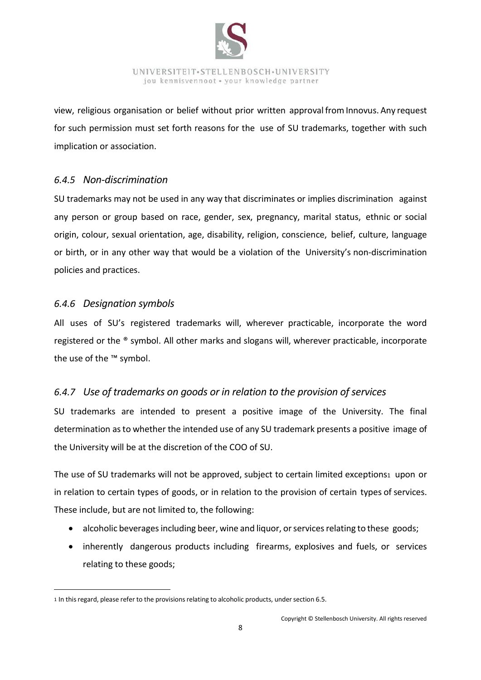

view, religious organisation or belief without prior written approvalfrom Innovus. Any request for such permission must set forth reasons for the use of SU trademarks, together with such implication or association.

#### <span id="page-12-0"></span>*6.4.5 Non-discrimination*

SU trademarks may not be used in any way that discriminates or implies discrimination against any person or group based on race, gender, sex, pregnancy, marital status, ethnic or social origin, colour, sexual orientation, age, disability, religion, conscience, belief, culture, language or birth, or in any other way that would be a violation of the University's non-discrimination policies and practices.

#### <span id="page-12-1"></span>*6.4.6 Designation symbols*

 $\ddot{\phantom{a}}$ 

All uses of SU's registered trademarks will, wherever practicable, incorporate the word registered or the ® symbol. All other marks and slogans will, wherever practicable, incorporate the use of the ™ symbol.

## <span id="page-12-2"></span>*6.4.7 Use of trademarks on goods or in relation to the provision of services*

SU trademarks are intended to present a positive image of the University. The final determination asto whether the intended use of any SU trademark presents a positive image of the University will be at the discretion of the COO of SU.

The use of SU trademarks will not be approved, subject to certain limited exceptions1 upon or in relation to certain types of goods, or in relation to the provision of certain types of services. These include, but are not limited to, the following:

- alcoholic beverages including beer, wine and liquor, or services relating to these goods;
- inherently dangerous products including firearms, explosives and fuels, or services relating to these goods;

<sup>1</sup> In this regard, please refer to the provisions relating to alcoholic products, under section 6.5.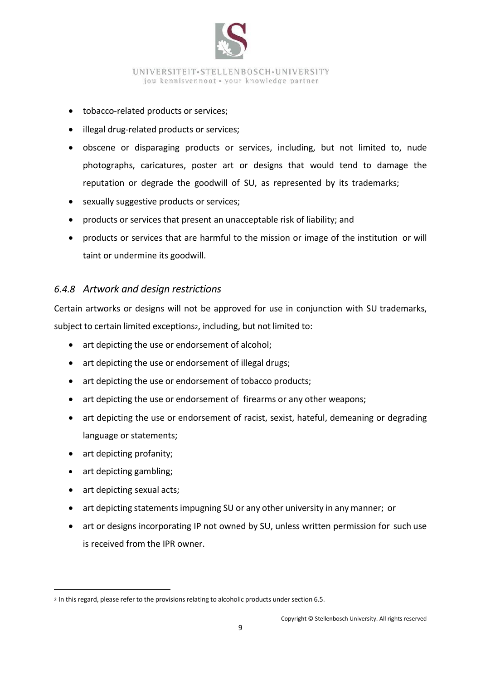

- tobacco-related products or services;
- illegal drug-related products or services;
- obscene or disparaging products or services, including, but not limited to, nude photographs, caricatures, poster art or designs that would tend to damage the reputation or degrade the goodwill of SU, as represented by its trademarks;
- sexually suggestive products or services;
- products or services that present an unacceptable risk of liability; and
- products or services that are harmful to the mission or image of the institution or will taint or undermine its goodwill.

#### <span id="page-13-0"></span>*6.4.8 Artwork and design restrictions*

Certain artworks or designs will not be approved for use in conjunction with SU trademarks, subject to certain limited exceptions2, including, but not limited to:

- art depicting the use or endorsement of alcohol;
- art depicting the use or endorsement of illegal drugs;
- art depicting the use or endorsement of tobacco products;
- art depicting the use or endorsement of firearms or any other weapons;
- art depicting the use or endorsement of racist, sexist, hateful, demeaning or degrading language or statements;
- art depicting profanity;
- art depicting gambling;
- art depicting sexual acts;

 $\ddot{\phantom{a}}$ 

- art depicting statements impugning SU or any other university in any manner; or
- art or designs incorporating IP not owned by SU, unless written permission for such use is received from the IPR owner.

<sup>2</sup> In this regard, please refer to the provisions relating to alcoholic products under section 6.5.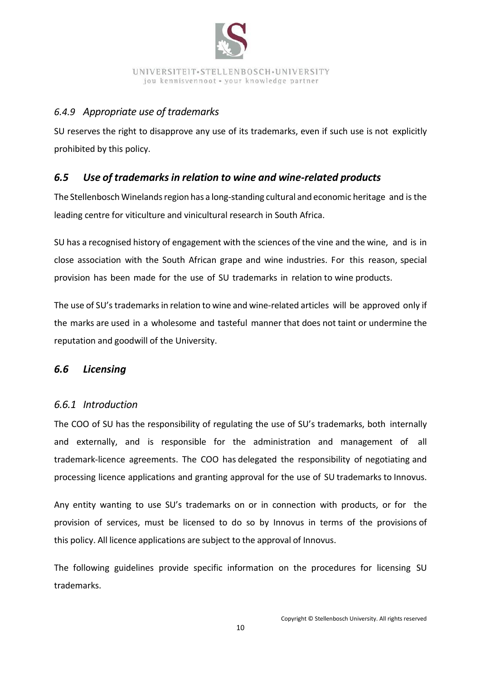

## <span id="page-14-0"></span>*6.4.9 Appropriate use of trademarks*

SU reserves the right to disapprove any use of its trademarks, even if such use is not explicitly prohibited by this policy.

## <span id="page-14-1"></span>*6.5 Use of trademarks in relation to wine and wine-related products*

The Stellenbosch Winelands region has a long-standing cultural and economic heritage and is the leading centre for viticulture and vinicultural research in South Africa.

SU has a recognised history of engagement with the sciences of the vine and the wine, and is in close association with the South African grape and wine industries. For this reason, special provision has been made for the use of SU trademarks in relation to wine products.

The use of SU's trademarksin relation to wine and wine-related articles will be approved only if the marks are used in a wholesome and tasteful manner that does not taint or undermine the reputation and goodwill of the University.

#### <span id="page-14-2"></span>*6.6 Licensing*

#### <span id="page-14-3"></span>*6.6.1 Introduction*

The COO of SU has the responsibility of regulating the use of SU's trademarks, both internally and externally, and is responsible for the administration and management of all trademark-licence agreements. The COO has delegated the responsibility of negotiating and processing licence applications and granting approval for the use of SU trademarks to Innovus.

Any entity wanting to use SU's trademarks on or in connection with products, or for the provision of services, must be licensed to do so by Innovus in terms of the provisions of this policy. All licence applications are subject to the approval of Innovus.

The following guidelines provide specific information on the procedures for licensing SU trademarks.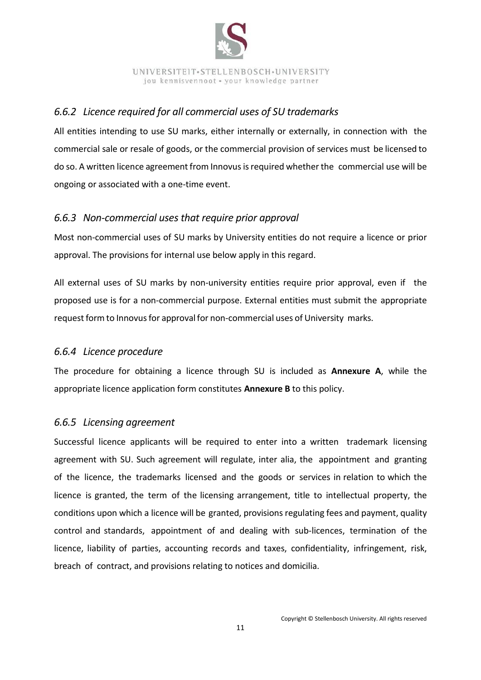

## <span id="page-15-0"></span>*6.6.2 Licence required for all commercial uses of SU trademarks*

All entities intending to use SU marks, either internally or externally, in connection with the commercial sale or resale of goods, or the commercial provision of services must be licensed to do so. A written licence agreement from Innovus is required whether the commercial use will be ongoing or associated with a one-time event.

## <span id="page-15-1"></span>*6.6.3 Non-commercial uses that require prior approval*

Most non-commercial uses of SU marks by University entities do not require a licence or prior approval. The provisions for internal use below apply in this regard.

All external uses of SU marks by non-university entities require prior approval, even if the proposed use is for a non-commercial purpose. External entities must submit the appropriate request form to Innovus for approval for non-commercial uses of University marks.

## <span id="page-15-2"></span>*6.6.4 Licence procedure*

The procedure for obtaining a licence through SU is included as **Annexure A**, while the appropriate licence application form constitutes **Annexure B** to this policy.

## <span id="page-15-3"></span>*6.6.5 Licensing agreement*

Successful licence applicants will be required to enter into a written trademark licensing agreement with SU. Such agreement will regulate, inter alia, the appointment and granting of the licence, the trademarks licensed and the goods or services in relation to which the licence is granted, the term of the licensing arrangement, title to intellectual property, the conditions upon which a licence will be granted, provisions regulating fees and payment, quality control and standards, appointment of and dealing with sub-licences, termination of the licence, liability of parties, accounting records and taxes, confidentiality, infringement, risk, breach of contract, and provisions relating to notices and domicilia.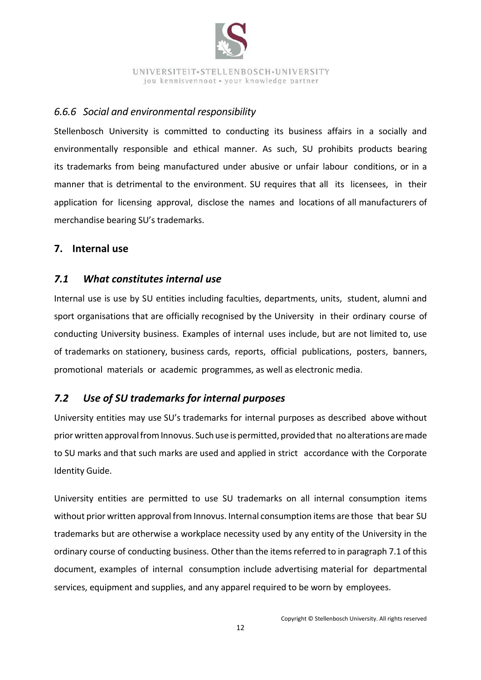

### <span id="page-16-0"></span>*6.6.6 Social and environmental responsibility*

Stellenbosch University is committed to conducting its business affairs in a socially and environmentally responsible and ethical manner. As such, SU prohibits products bearing its trademarks from being manufactured under abusive or unfair labour conditions, or in a manner that is detrimental to the environment. SU requires that all its licensees, in their application for licensing approval, disclose the names and locations of all manufacturers of merchandise bearing SU's trademarks.

## <span id="page-16-1"></span>**7. Internal use**

## <span id="page-16-2"></span>*7.1 What constitutes internal use*

Internal use is use by SU entities including faculties, departments, units, student, alumni and sport organisations that are officially recognised by the University in their ordinary course of conducting University business. Examples of internal uses include, but are not limited to, use of trademarks on stationery, business cards, reports, official publications, posters, banners, promotional materials or academic programmes, as well as electronic media.

## <span id="page-16-3"></span>*7.2 Use of SU trademarks for internal purposes*

University entities may use SU's trademarks for internal purposes as described above without prior written approval from Innovus. Such use is permitted, provided that no alterations are made to SU marks and that such marks are used and applied in strict accordance with the Corporate Identity Guide.

University entities are permitted to use SU trademarks on all internal consumption items without prior written approval from Innovus. Internal consumption items are those that bear SU trademarks but are otherwise a workplace necessity used by any entity of the University in the ordinary course of conducting business. Other than the items referred to in paragraph 7.1 of this document, examples of internal consumption include advertising material for departmental services, equipment and supplies, and any apparel required to be worn by employees.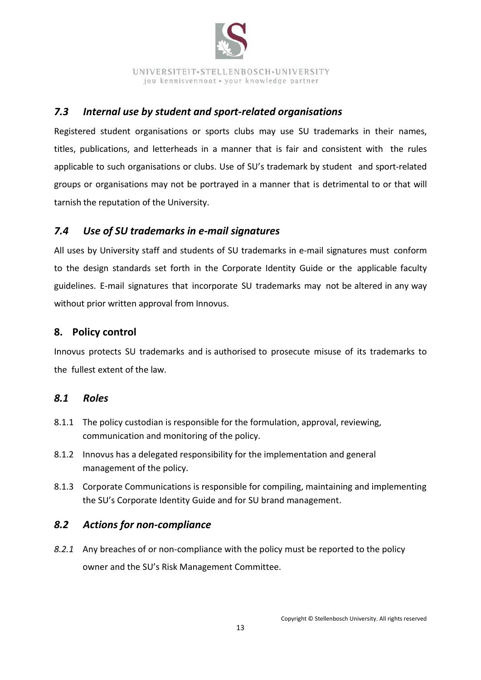

## <span id="page-17-0"></span>*7.3 Internal use by student and sport-related organisations*

Registered student organisations or sports clubs may use SU trademarks in their names, titles, publications, and letterheads in a manner that is fair and consistent with the rules applicable to such organisations or clubs. Use of SU's trademark by student and sport-related groups or organisations may not be portrayed in a manner that is detrimental to or that will tarnish the reputation of the University.

## <span id="page-17-1"></span>*7.4 Use of SU trademarks in e-mail signatures*

All uses by University staff and students of SU trademarks in e-mail signatures must conform to the design standards set forth in the Corporate Identity Guide or the applicable faculty guidelines. E-mail signatures that incorporate SU trademarks may not be altered in any way without prior written approval from Innovus.

## <span id="page-17-2"></span>**8. Policy control**

Innovus protects SU trademarks and is authorised to prosecute misuse of its trademarks to the fullest extent of the law.

## <span id="page-17-3"></span>*8.1 Roles*

- 8.1.1 The policy custodian is responsible for the formulation, approval, reviewing, communication and monitoring of the policy.
- 8.1.2 Innovus has a delegated responsibility for the implementation and general management of the policy.
- 8.1.3 Corporate Communications is responsible for compiling, maintaining and implementing the SU's Corporate Identity Guide and for SU brand management.

## <span id="page-17-4"></span>*8.2 Actions for non-compliance*

*8.2.1* Any breaches of or non-compliance with the policy must be reported to the policy owner and the SU's Risk Management Committee.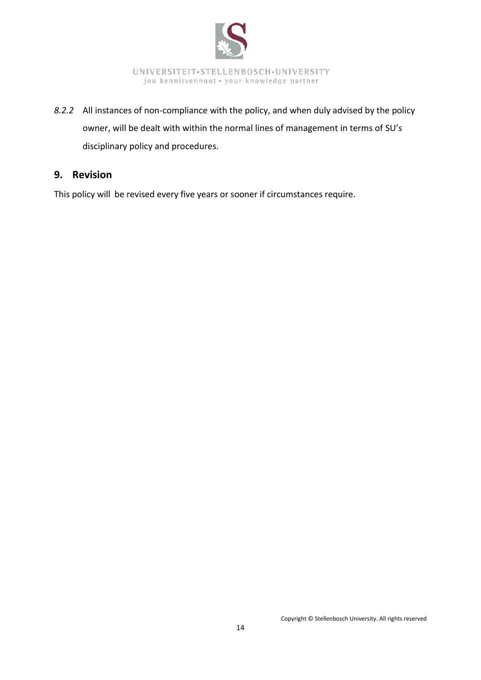

*8.2.2* All instances of non-compliance with the policy, and when duly advised by the policy owner, will be dealt with within the normal lines of management in terms of SU's disciplinary policy and procedures.

## <span id="page-18-0"></span>**9. Revision**

<span id="page-18-1"></span>This policy will be revised every five years or sooner if circumstances require.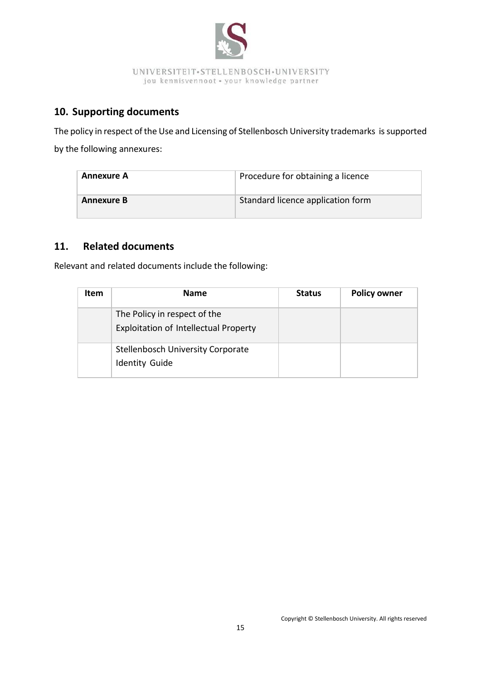

# **10. Supporting documents**

The policy in respect of the Use and Licensing of Stellenbosch University trademarks is supported by the following annexures:

| <b>Annexure A</b> | Procedure for obtaining a licence |  |
|-------------------|-----------------------------------|--|
| <b>Annexure B</b> | Standard licence application form |  |

## <span id="page-19-0"></span>**11. Related documents**

Relevant and related documents include the following:

| <b>Item</b> | <b>Name</b>                                                           | <b>Status</b> | <b>Policy owner</b> |
|-------------|-----------------------------------------------------------------------|---------------|---------------------|
|             | The Policy in respect of the<br>Exploitation of Intellectual Property |               |                     |
|             | <b>Stellenbosch University Corporate</b><br><b>Identity Guide</b>     |               |                     |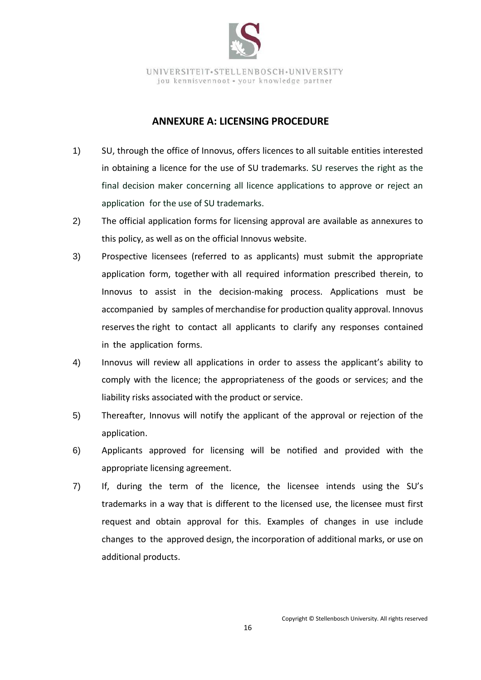

#### **ANNEXURE A: LICENSING PROCEDURE**

- <span id="page-20-0"></span>1) SU, through the office of Innovus, offers licences to all suitable entities interested in obtaining a licence for the use of SU trademarks. SU reserves the right as the final decision maker concerning all licence applications to approve or reject an application for the use of SU trademarks.
- 2) The official application forms for licensing approval are available as annexures to this policy, as well as on the official Innovus website.
- 3) Prospective licensees (referred to as applicants) must submit the appropriate application form, together with all required information prescribed therein, to Innovus to assist in the decision-making process. Applications must be accompanied by samples of merchandise for production quality approval. Innovus reserves the right to contact all applicants to clarify any responses contained in the application forms.
- 4) Innovus will review all applications in order to assess the applicant's ability to comply with the licence; the appropriateness of the goods or services; and the liability risks associated with the product or service.
- 5) Thereafter, Innovus will notify the applicant of the approval or rejection of the application.
- 6) Applicants approved for licensing will be notified and provided with the appropriate licensing agreement.
- 7) If, during the term of the licence, the licensee intends using the SU's trademarks in a way that is different to the licensed use, the licensee must first request and obtain approval for this. Examples of changes in use include changes to the approved design, the incorporation of additional marks, or use on additional products.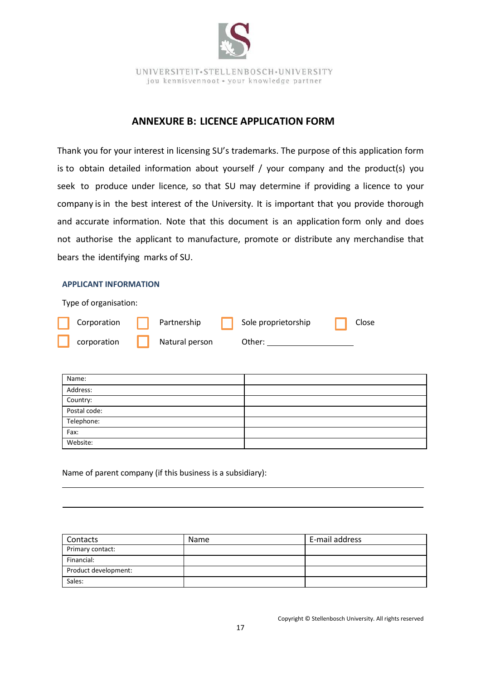

#### **ANNEXURE B: LICENCE APPLICATION FORM**

<span id="page-21-0"></span>Thank you for your interest in licensing SU's trademarks. The purpose of this application form is to obtain detailed information about yourself / your company and the product(s) you seek to produce under licence, so that SU may determine if providing a licence to your company is in the best interest of the University. It is important that you provide thorough and accurate information. Note that this document is an application form only and does not authorise the applicant to manufacture, promote or distribute any merchandise that bears the identifying marks of SU.

#### **APPLICANT INFORMATION**

Type of organisation:

| Corporation | $\Box$ Partnership | Sole proprietorship | Close |
|-------------|--------------------|---------------------|-------|
| corporation | Natural person     | Other:              |       |

| Name:        |  |
|--------------|--|
| Address:     |  |
| Country:     |  |
| Postal code: |  |
| Telephone:   |  |
| Fax:         |  |
| Website:     |  |

Name of parent company (if this business is a subsidiary):

| Contacts             | Name | E-mail address |
|----------------------|------|----------------|
| Primary contact:     |      |                |
| Financial:           |      |                |
| Product development: |      |                |
| Sales:               |      |                |

Copyright © Stellenbosch University. All rights reserved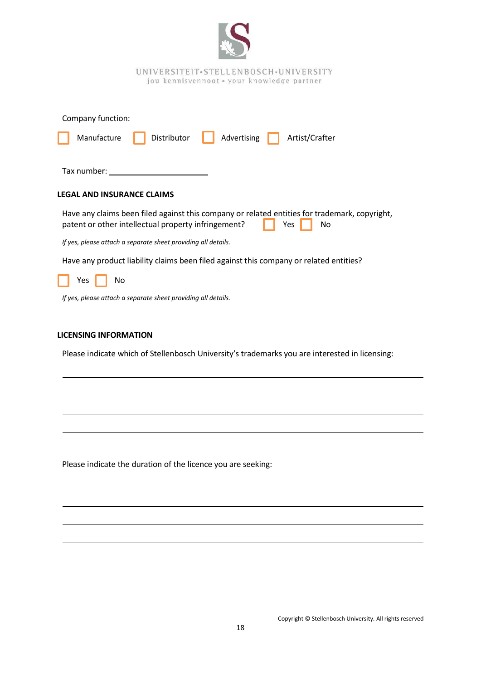| UNIVERSITEIT.STELLENBOSCH.UNIVERSITY<br>jou kennisvennoot · your knowledge partner                                                                                |
|-------------------------------------------------------------------------------------------------------------------------------------------------------------------|
| Company function:                                                                                                                                                 |
| Manufacture<br>Distributor<br>Advertising<br>Artist/Crafter                                                                                                       |
| Tax number:                                                                                                                                                       |
| <b>LEGAL AND INSURANCE CLAIMS</b>                                                                                                                                 |
| Have any claims been filed against this company or related entities for trademark, copyright,<br>patent or other intellectual property infringement?<br>No<br>Yes |
| If yes, please attach a separate sheet providing all details.                                                                                                     |
| Have any product liability claims been filed against this company or related entities?                                                                            |
| No<br>Yes                                                                                                                                                         |
| If yes, please attach a separate sheet providing all details.                                                                                                     |
| <b>LICENSING INFORMATION</b>                                                                                                                                      |
| Please indicate which of Stellenbosch University's trademarks you are interested in licensing:                                                                    |
|                                                                                                                                                                   |
|                                                                                                                                                                   |
|                                                                                                                                                                   |
|                                                                                                                                                                   |
|                                                                                                                                                                   |

Please indicate the duration of the licence you are seeking:

 $\overline{\phantom{a}}$ 

 $\overline{\phantom{a}}$